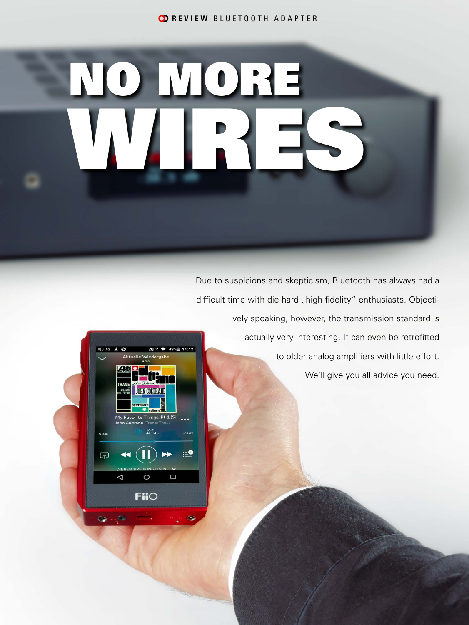**CD REVIEW BLUETOOTH ADAPTER** 

# NO MORE WIRES

Due to suspicions and skepticism, Bluetooth has always had a difficult time with die-hard "high fidelity" enthusiasts. Objectively speaking, however, the transmission standard is



actually very interesting. It can even be retrofitted to older analog amplifiers with little effort. We'll give you all advice you need.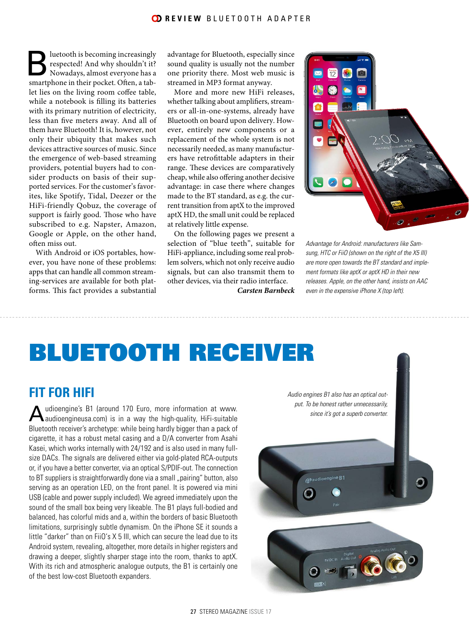#### **CD REVIEW BLUETOOTH ADAPTER**

Bluetooth is becoming increasingly<br>respected! And why shouldn't it?<br>Nowadays, almost everyone has a<br>smartphone in their pocket. Often, a tab respected! And why shouldn't it? Nowadays, almost everyone has a smartphone in their pocket. Often, a tablet lies on the living room coffee table, while a notebook is filling its batteries with its primary nutrition of electricity, less than five meters away. And all of them have Bluetooth! It is, however, not only their ubiquity that makes such devices attractive sources of music. Since the emergence of web-based streaming providers, potential buyers had to consider products on basis of their supported services. For the customer's favorites, like Spotify, Tidal, Deezer or the HiFi-friendly Qobuz, the coverage of support is fairly good. Those who have subscribed to e.g. Napster, Amazon, Google or Apple, on the other hand, often miss out.

With Android or iOS portables, however, you have none of these problems: apps that can handle all common streaming-services are available for both platforms. This fact provides a substantial advantage for Bluetooth, especially since sound quality is usually not the number one priority there. Most web music is streamed in MP3 format anyway.

More and more new HiFi releases, whether talking about amplifiers, streamers or all-in-one-systems, already have Bluetooth on board upon delivery. However, entirely new components or a replacement of the whole system is not necessarily needed, as many manufacturers have retrofittable adapters in their range. These devices are comparatively cheap, while also offering another decisive advantage: in case there where changes made to the BT standard, as e.g. the current transition from aptX to the improved aptX HD, the small unit could be replaced at relatively little expense.

On the following pages we present a selection of "blue teeth", suitable for HiFi-appliance, including some real problem solvers, which not only receive audio signals, but can also transmit them to other devices, via their radio interface.

*Carsten Barnbeck*



*Advantage for Android: manufacturers like Samsung, HTC or FiiO (shown on the right of the X5 III) are more open towards the BT standard and implement formats like aptX or aptX HD in their new releases. Apple, on the other hand, insists on AAC even in the expensive iPhone X (top left).*

### BLUETOOTH RECEIVER

#### **FIT FOR HIFI**

Audioengine's B1 (around 170 Euro, more information at www.<br>Audioengineusa.com) is in a way the high-quality, HiFi-suitable Bluetooth receiver's archetype: while being hardly bigger than a pack of cigarette, it has a robust metal casing and a D/A converter from Asahi Kasei, which works internally with 24/192 and is also used in many fullsize DACs. The signals are delivered either via gold-plated RCA-outputs or, if you have a better converter, via an optical S/PDIF-out. The connection to BT suppliers is straightforwardly done via a small "pairing" button, also serving as an operation LED, on the front panel. It is powered via mini USB (cable and power supply included). We agreed immediately upon the sound of the small box being very likeable. The B1 plays full-bodied and balanced, has colorful mids and a, within the borders of basic Bluetooth limitations, surprisingly subtle dynamism. On the iPhone SE it sounds a little "darker" than on FiiO's X 5 III, which can secure the lead due to its Android system, revealing, altogether, more details in higher registers and drawing a deeper, slightly sharper stage into the room, thanks to aptX. With its rich and atmospheric analogue outputs, the B1 is certainly one of the best low-cost Bluetooth expanders.

*Audio engines B1 also has an optical output. To be honest rather unnecessarily, since it's got a superb converter.*

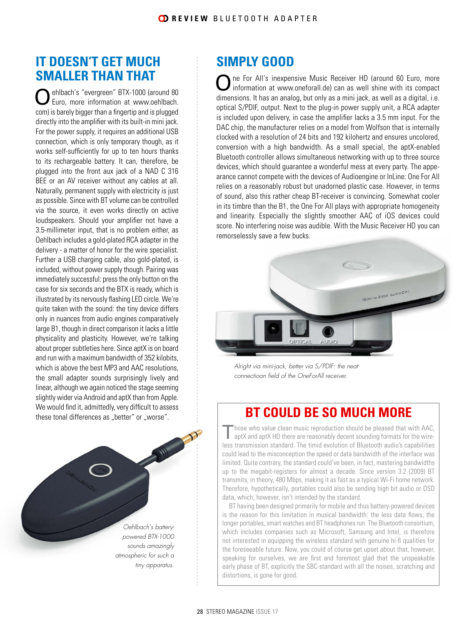### **IT DOESN'T GET MUCH SMALLER THAN THAT**

Oehlbach's "evergreen" BTX-1000 (around 80 Euro, more information at www.oehlbach. com) is barely bigger than a fingertip and is plugged directly into the amplifier with its built-in mini jack. For the power supply, it requires an additional USB connection, which is only temporary though, as it works self-sufficiently for up to ten hours thanks to its rechargeable battery. It can, therefore, be plugged into the front aux jack of a NAD C 316 BEE or an AV receiver without any cables at all. Naturally, permanent supply with electricity is just as possible. Since with BT volume can be controlled via the source, it even works directly on active loudspeakers. Should your amplifier not have a 3.5-millimeter input, that is no problem either, as Oehlbach includes a gold-plated RCA adapter in the delivery - a matter of honor for the wire specialist. Further a USB charging cable, also gold-plated, is included, without power supply though. Pairing was immediately successful: press the only button on the case for six seconds and the BTX is ready, which is illustrated by its nervously flashing LED circle. We're quite taken with the sound: the tiny device differs only in nuances from audio engines comparatively large B1, though in direct comparison it lacks a little physicality and plasticity. However, we're talking about proper subtleties here. Since aptX is on board and run with a maximum bandwidth of 352 kilobits, which is above the best MP3 and AAC resolutions, the small adapter sounds surprisingly lively and linear, although we again noticed the stage seeming slightly wider via Android and aptX than from Apple. We would find it, admittedly, very difficult to assess these tonal differences as "better" or "worse".

> *Oehlbach's batterypowered BTX-1000 sounds amazingly atmospheric for such a tiny apparatus.*

### **SIMPLY GOOD**

One For All's inexpensive Music Receiver HD (around 60 Euro, more information at www.oneforall.de) can as well shine with its compact dimensions. It has an analog, but only as a mini jack, as well as a digital, i.e. optical S/PDIF, output. Next to the plug-in power supply unit, a RCA adapter is included upon delivery, in case the amplifier lacks a 3.5 mm input. For the DAC chip, the manufacturer relies on a model from Wolfson that is internally clocked with a resolution of 24 bits and 192 kilohertz and ensures uncolored, conversion with a high bandwidth. As a small special, the aptX-enabled Bluetooth controller allows simultaneous networking with up to three source devices, which should guarantee a wonderful mess at every party. The appearance cannot compete with the devices of Audioengine or InLine: One For All relies on a reasonably robust but unadorned plastic case. However, in terms of sound, also this rather cheap BT-receiver is convincing. Somewhat cooler in its timbre than the B1, the One For All plays with appropriate homogeneity and linearity. Especially the slightly smoother AAC of iOS devices could score. No interfering noise was audible. With the Music Receiver HD you can remorselessly save a few bucks.



*Alright via mini-jack, better via S/PDIF: the neat connectioan field of the OneForAll receiver.*

### **BT COULD BE SO MUCH MORE**

"hose who value clean music reproduction should be pleased that with AAC, aptX and aptX HD there are reasonably decent sounding formats for the wireless transmission standard. The timid evolution of Bluetooth audio's capabilities could lead to the misconception the speed or data bandwidth of the interface was limited. Quite contrary, the standard could've been, in fact, mastering bandwidths up to the megabit-registers for almost a decade. Since version 3.2 (2009) BT transmits, in theory, 480 Mbps, making it as fast as a typical Wi-Fi home network. Therefore, hypothetically, portables could also be sending high bit audio or DSD data, which, however, isn't intended by the standard.

BT having been designed primarily for mobile and thus battery-powered devices is the reason for this limitation in musical bandwidth: the less data flows, the longer portables, smart watches and BT headphones run. The Bluetooth consortium, which includes companies such as Microsoft, Samsung and Intel, is therefore not interested in equipping the wireless standard with genuine hi-fi qualities for the foreseeable future. Now, you could of course get upset about that, however, speaking for ourselves, we are first and foremost glad that the unspeakable early phase of BT, explicitly the SBC-standard with all the noises, scratching and distortions, is gone for good.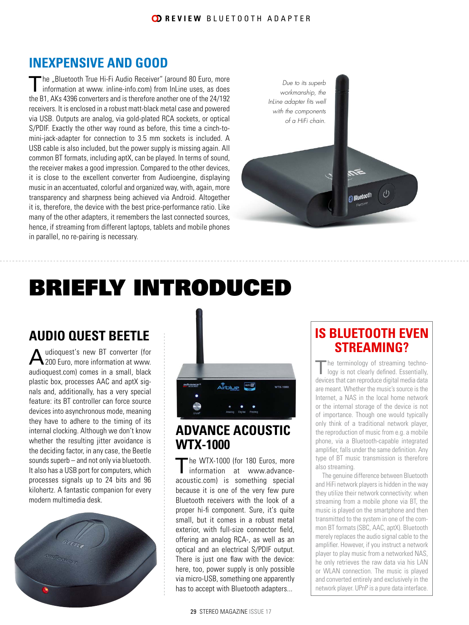### **INEXPENSIVE AND GOOD**

The "Bluetooth True Hi-Fi Audio Receiver" (around 80 Euro, more information at www. inline-info.com) from InLine uses, as does the B1, AKs 4396 converters and is therefore another one of the 24/192 receivers. It is enclosed in a robust matt-black metal case and powered via USB. Outputs are analog, via gold-plated RCA sockets, or optical S/PDIF. Exactly the other way round as before, this time a cinch-tomini-jack-adapter for connection to 3.5 mm sockets is included. A USB cable is also included, but the power supply is missing again. All common BT formats, including aptX, can be played. In terms of sound, the receiver makes a good impression. Compared to the other devices, it is close to the excellent converter from Audioengine, displaying music in an accentuated, colorful and organized way, with, again, more transparency and sharpness being achieved via Android. Altogether it is, therefore, the device with the best price-performance ratio. Like many of the other adapters, it remembers the last connected sources, hence, if streaming from different laptops, tablets and mobile phones in parallel, no re-pairing is necessary.

*Due to its superb workmanship, the InLine adapter fits well with the components of a HiFi chain.* $(1)$ Bluetooth

### BRIEFLY INTRODUCED

### **AUDIO QUEST BEETLE**

udioquest's new BT converter (for 200 Euro, more information at www. audioquest.com) comes in a small, black plastic box, processes AAC and aptX signals and, additionally, has a very special feature: its BT controller can force source devices into asynchronous mode, meaning they have to adhere to the timing of its internal clocking. Although we don't know whether the resulting jitter avoidance is the deciding factor, in any case, the Beetle sounds superb – and not only via bluetooth. It also has a USB port for computers, which processes signals up to 24 bits and 96 kilohertz. A fantastic companion for every modern multimedia desk.





### **ADVANCE ACOUSTIC WTX-1000**

The WTX-1000 (for 180 Euros, more<br>
information at www.advanceacoustic.com) is something special because it is one of the very few pure Bluetooth receivers with the look of a proper hi-fi component. Sure, it's quite small, but it comes in a robust metal exterior, with full-size connector field, offering an analog RCA-, as well as an optical and an electrical S/PDIF output. There is just one flaw with the device: here, too, power supply is only possible via micro-USB, something one apparently has to accept with Bluetooth adapters...

### **IS BLUETOOTH EVEN STREAMING?**

The terminology of streaming techno-<br>logy is not clearly defined. Essentially, devices that can reproduce digital media data are meant. Whether the music's source is the Internet, a NAS in the local home network or the internal storage of the device is not of importance. Though one would typically only think of a traditional network player, the reproduction of music from e.g. a mobile phone, via a Bluetooth-capable integrated amplifier, falls under the same definition. Any type of BT music transmission is therefore also streaming.

The genuine difference between Bluetooth and HiFi network players is hidden in the way they utilize their network connectivity: when streaming from a mobile phone via BT, the music is played on the smartphone and then transmitted to the system in one of the common BT formats (SBC, AAC, aptX). Bluetooth merely replaces the audio signal cable to the amplifier. However, if you instruct a network player to play music from a networked NAS, he only retrieves the raw data via his LAN or WLAN connection. The music is played and converted entirely and exclusively in the network player. UPnP is a pure data interface.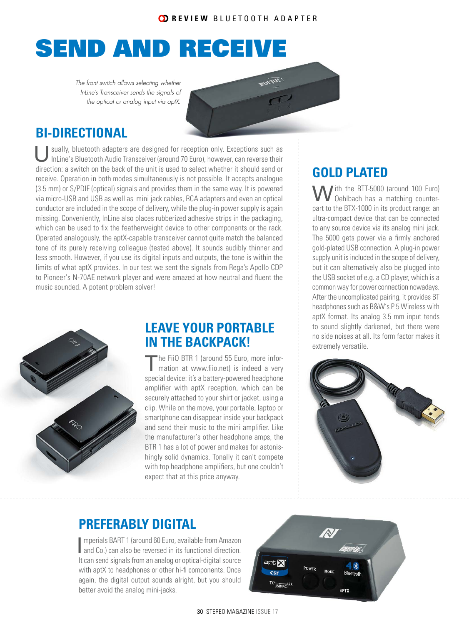### SEND AND RECEIVE

*The front switch allows selecting whether InLine's Transceiver sends the signals of the optical or analog input via aptX.*

### **BI-DIRECTIONAL**

Usually, bluetooth adapters are designed for reception only. Exceptions such as InLine's Bluetooth Audio Transceiver (around 70 Euro), however, can reverse their direction: a switch on the back of the unit is used to select whether it should send or receive. Operation in both modes simultaneously is not possible. It accepts analogue (3.5 mm) or S/PDIF (optical) signals and provides them in the same way. It is powered via micro-USB and USB as well as mini jack cables, RCA adapters and even an optical conductor are included in the scope of delivery, while the plug-in power supply is again missing. Conveniently, InLine also places rubberized adhesive strips in the packaging, which can be used to fix the featherweight device to other components or the rack. Operated analogously, the aptX-capable transceiver cannot quite match the balanced tone of its purely receiving colleague (tested above). It sounds audibly thinner and less smooth. However, if you use its digital inputs and outputs, the tone is within the limits of what aptX provides. In our test we sent the signals from Rega's Apollo CDP to Pioneer's N-70AE network player and were amazed at how neutral and fluent the music sounded. A potent problem solver!



### **LEAVE YOUR PORTABLE IN THE BACKPACK!**

The FiiO BTR 1 (around 55 Euro, more infor-<br>mation at www.fiio.net) is indeed a very special device: it's a battery-powered headphone amplifier with aptX reception, which can be securely attached to your shirt or jacket, using a clip. While on the move, your portable, laptop or smartphone can disappear inside your backpack and send their music to the mini amplifier. Like the manufacturer's other headphone amps, the BTR 1 has a lot of power and makes for astonishingly solid dynamics. Tonally it can't compete with top headphone amplifiers, but one couldn't expect that at this price anyway.

### **GOLD PLATED**

W ith the BTT-5000 (around 100 Euro)<br>Oehlbach has a matching counterpart to the BTX-1000 in its product range: an ultra-compact device that can be connected to any source device via its analog mini jack. The 5000 gets power via a firmly anchored gold-plated USB connection. A plug-in power supply unit is included in the scope of delivery, but it can alternatively also be plugged into the USB socket of e.g. a CD player, which is a common way for power connection nowadays. After the uncomplicated pairing, it provides BT headphones such as B&W's P 5 Wireless with aptX format. Its analog 3.5 mm input tends to sound slightly darkened, but there were no side noises at all. Its form factor makes it extremely versatile.



### **PREFERABLY DIGITAL**

**I** mperials BART 1 (around 60 Euro, available from Amazon and Co.) can also be reversed in its functional direction. mperials BART 1 (around 60 Euro, available from Amazon It can send signals from an analog or optical-digital source with aptX to headphones or other hi-fi components. Once again, the digital output sounds alright, but you should better avoid the analog mini-jacks.